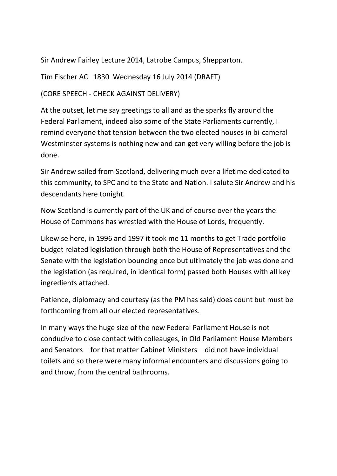Sir Andrew Fairley Lecture 2014, Latrobe Campus, Shepparton.

```
Tim Fischer AC 1830 Wednesday 16 July 2014 (DRAFT)
```
(CORE SPEECH - CHECK AGAINST DELIVERY)

At the outset, let me say greetings to all and as the sparks fly around the Federal Parliament, indeed also some of the State Parliaments currently, I remind everyone that tension between the two elected houses in bi-cameral Westminster systems is nothing new and can get very willing before the job is done.

Sir Andrew sailed from Scotland, delivering much over a lifetime dedicated to this community, to SPC and to the State and Nation. I salute Sir Andrew and his descendants here tonight.

Now Scotland is currently part of the UK and of course over the years the House of Commons has wrestled with the House of Lords, frequently.

Likewise here, in 1996 and 1997 it took me 11 months to get Trade portfolio budget related legislation through both the House of Representatives and the Senate with the legislation bouncing once but ultimately the job was done and the legislation (as required, in identical form) passed both Houses with all key ingredients attached.

Patience, diplomacy and courtesy (as the PM has said) does count but must be forthcoming from all our elected representatives.

In many ways the huge size of the new Federal Parliament House is not conducive to close contact with colleauges, in Old Parliament House Members and Senators – for that matter Cabinet Ministers – did not have individual toilets and so there were many informal encounters and discussions going to and throw, from the central bathrooms.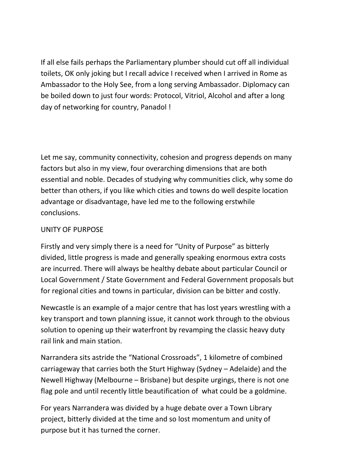If all else fails perhaps the Parliamentary plumber should cut off all individual toilets, OK only joking but I recall advice I received when I arrived in Rome as Ambassador to the Holy See, from a long serving Ambassador. Diplomacy can be boiled down to just four words: Protocol, Vitriol, Alcohol and after a long day of networking for country, Panadol !

Let me say, community connectivity, cohesion and progress depends on many factors but also in my view, four overarching dimensions that are both essential and noble. Decades of studying why communities click, why some do better than others, if you like which cities and towns do well despite location advantage or disadvantage, have led me to the following erstwhile conclusions.

### UNITY OF PURPOSE

Firstly and very simply there is a need for "Unity of Purpose" as bitterly divided, little progress is made and generally speaking enormous extra costs are incurred. There will always be healthy debate about particular Council or Local Government / State Government and Federal Government proposals but for regional cities and towns in particular, division can be bitter and costly.

Newcastle is an example of a major centre that has lost years wrestling with a key transport and town planning issue, it cannot work through to the obvious solution to opening up their waterfront by revamping the classic heavy duty rail link and main station.

Narrandera sits astride the "National Crossroads", 1 kilometre of combined carriageway that carries both the Sturt Highway (Sydney – Adelaide) and the Newell Highway (Melbourne – Brisbane) but despite urgings, there is not one flag pole and until recently little beautification of what could be a goldmine.

For years Narrandera was divided by a huge debate over a Town Library project, bitterly divided at the time and so lost momentum and unity of purpose but it has turned the corner.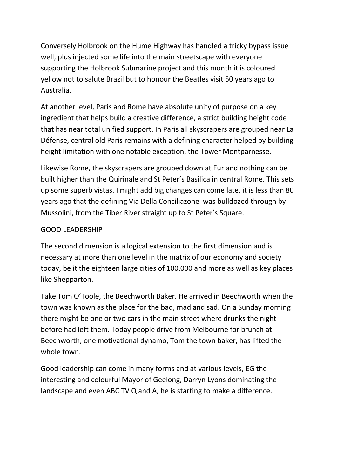Conversely Holbrook on the Hume Highway has handled a tricky bypass issue well, plus injected some life into the main streetscape with everyone supporting the Holbrook Submarine project and this month it is coloured yellow not to salute Brazil but to honour the Beatles visit 50 years ago to Australia.

At another level, Paris and Rome have absolute unity of purpose on a key ingredient that helps build a creative difference, a strict building height code that has near total unified support. In Paris all skyscrapers are grouped near La Défense, central old Paris remains with a defining character helped by building height limitation with one notable exception, the Tower Montparnesse.

Likewise Rome, the skyscrapers are grouped down at Eur and nothing can be built higher than the Quirinale and St Peter's Basilica in central Rome. This sets up some superb vistas. I might add big changes can come late, it is less than 80 years ago that the defining Via Della Conciliazone was bulldozed through by Mussolini, from the Tiber River straight up to St Peter's Square.

### GOOD LEADERSHIP

The second dimension is a logical extension to the first dimension and is necessary at more than one level in the matrix of our economy and society today, be it the eighteen large cities of 100,000 and more as well as key places like Shepparton.

Take Tom O'Toole, the Beechworth Baker. He arrived in Beechworth when the town was known as the place for the bad, mad and sad. On a Sunday morning there might be one or two cars in the main street where drunks the night before had left them. Today people drive from Melbourne for brunch at Beechworth, one motivational dynamo, Tom the town baker, has lifted the whole town.

Good leadership can come in many forms and at various levels, EG the interesting and colourful Mayor of Geelong, Darryn Lyons dominating the landscape and even ABC TV Q and A, he is starting to make a difference.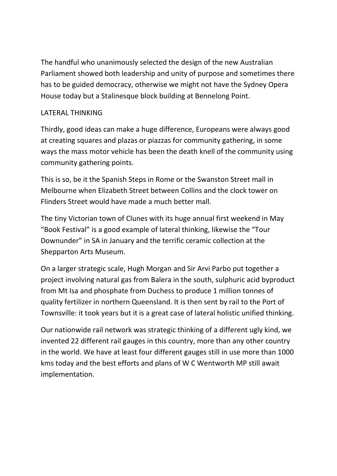The handful who unanimously selected the design of the new Australian Parliament showed both leadership and unity of purpose and sometimes there has to be guided democracy, otherwise we might not have the Sydney Opera House today but a Stalinesque block building at Bennelong Point.

# LATERAL THINKING

Thirdly, good ideas can make a huge difference, Europeans were always good at creating squares and plazas or piazzas for community gathering, in some ways the mass motor vehicle has been the death knell of the community using community gathering points.

This is so, be it the Spanish Steps in Rome or the Swanston Street mall in Melbourne when Elizabeth Street between Collins and the clock tower on Flinders Street would have made a much better mall.

The tiny Victorian town of Clunes with its huge annual first weekend in May "Book Festival" is a good example of lateral thinking, likewise the "Tour Downunder" in SA in January and the terrific ceramic collection at the Shepparton Arts Museum.

On a larger strategic scale, Hugh Morgan and Sir Arvi Parbo put together a project involving natural gas from Balera in the south, sulphuric acid byproduct from Mt Isa and phosphate from Duchess to produce 1 million tonnes of quality fertilizer in northern Queensland. It is then sent by rail to the Port of Townsville: it took years but it is a great case of lateral holistic unified thinking.

Our nationwide rail network was strategic thinking of a different ugly kind, we invented 22 different rail gauges in this country, more than any other country in the world. We have at least four different gauges still in use more than 1000 kms today and the best efforts and plans of W C Wentworth MP still await implementation.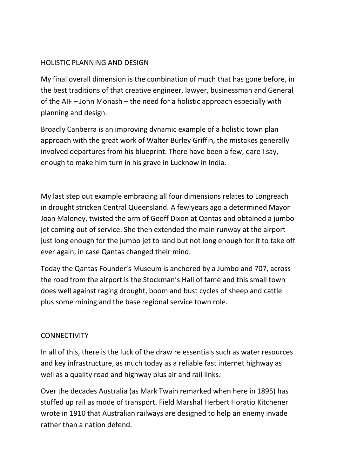# HOLISTIC PLANNING AND DESIGN

My final overall dimension is the combination of much that has gone before, in the best traditions of that creative engineer, lawyer, businessman and General of the AIF – John Monash – the need for a holistic approach especially with planning and design.

Broadly Canberra is an improving dynamic example of a holistic town plan approach with the great work of Walter Burley Griffin, the mistakes generally involved departures from his blueprint. There have been a few, dare I say, enough to make him turn in his grave in Lucknow in India.

My last step out example embracing all four dimensions relates to Longreach in drought stricken Central Queensland. A few years ago a determined Mayor Joan Maloney, twisted the arm of Geoff Dixon at Qantas and obtained a jumbo jet coming out of service. She then extended the main runway at the airport just long enough for the jumbo jet to land but not long enough for it to take off ever again, in case Qantas changed their mind.

Today the Qantas Founder's Museum is anchored by a Jumbo and 707, across the road from the airport is the Stockman's Hall of fame and this small town does well against raging drought, boom and bust cycles of sheep and cattle plus some mining and the base regional service town role.

## **CONNECTIVITY**

In all of this, there is the luck of the draw re essentials such as water resources and key infrastructure, as much today as a reliable fast internet highway as well as a quality road and highway plus air and rail links.

Over the decades Australia (as Mark Twain remarked when here in 1895) has stuffed up rail as mode of transport. Field Marshal Herbert Horatio Kitchener wrote in 1910 that Australian railways are designed to help an enemy invade rather than a nation defend.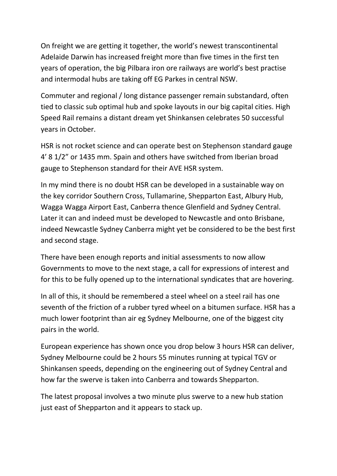On freight we are getting it together, the world's newest transcontinental Adelaide Darwin has increased freight more than five times in the first ten years of operation, the big Pilbara iron ore railways are world's best practise and intermodal hubs are taking off EG Parkes in central NSW.

Commuter and regional / long distance passenger remain substandard, often tied to classic sub optimal hub and spoke layouts in our big capital cities. High Speed Rail remains a distant dream yet Shinkansen celebrates 50 successful years in October.

HSR is not rocket science and can operate best on Stephenson standard gauge 4' 8 1/2" or 1435 mm. Spain and others have switched from Iberian broad gauge to Stephenson standard for their AVE HSR system.

In my mind there is no doubt HSR can be developed in a sustainable way on the key corridor Southern Cross, Tullamarine, Shepparton East, Albury Hub, Wagga Wagga Airport East, Canberra thence Glenfield and Sydney Central. Later it can and indeed must be developed to Newcastle and onto Brisbane, indeed Newcastle Sydney Canberra might yet be considered to be the best first and second stage.

There have been enough reports and initial assessments to now allow Governments to move to the next stage, a call for expressions of interest and for this to be fully opened up to the international syndicates that are hovering.

In all of this, it should be remembered a steel wheel on a steel rail has one seventh of the friction of a rubber tyred wheel on a bitumen surface. HSR has a much lower footprint than air eg Sydney Melbourne, one of the biggest city pairs in the world.

European experience has shown once you drop below 3 hours HSR can deliver, Sydney Melbourne could be 2 hours 55 minutes running at typical TGV or Shinkansen speeds, depending on the engineering out of Sydney Central and how far the swerve is taken into Canberra and towards Shepparton.

The latest proposal involves a two minute plus swerve to a new hub station just east of Shepparton and it appears to stack up.